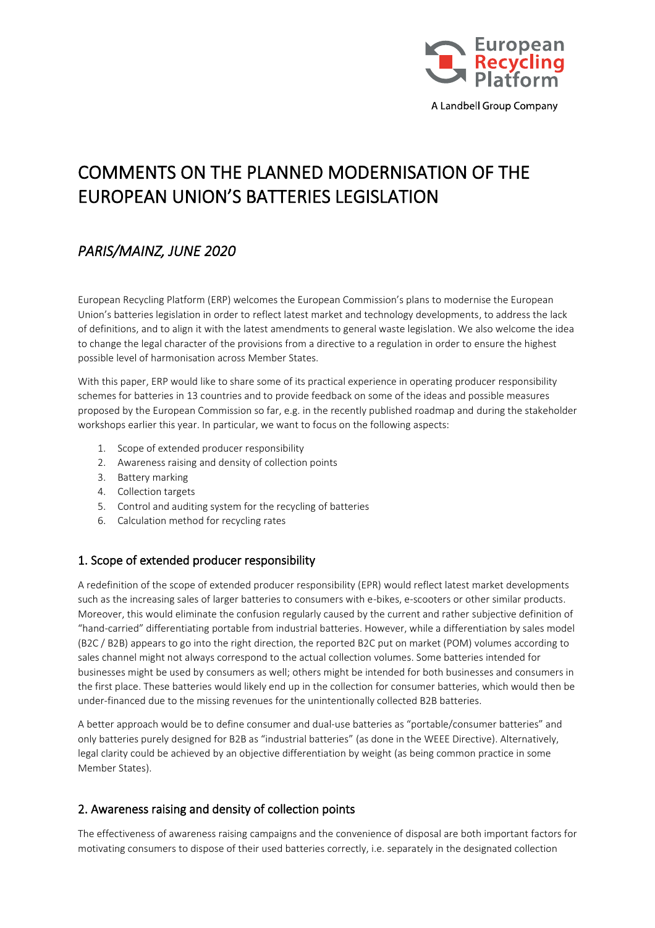

# COMMENTS ON THE PLANNED MODERNISATION OF THE EUROPEAN UNION'S BATTERIES LEGISLATION

## *PARIS/MAINZ, JUNE 2020*

European Recycling Platform (ERP) welcomes the European Commission's plans to modernise the European Union's batteries legislation in order to reflect latest market and technology developments, to address the lack of definitions, and to align it with the latest amendments to general waste legislation. We also welcome the idea to change the legal character of the provisions from a directive to a regulation in order to ensure the highest possible level of harmonisation across Member States.

With this paper, ERP would like to share some of its practical experience in operating producer responsibility schemes for batteries in 13 countries and to provide feedback on some of the ideas and possible measures proposed by the European Commission so far, e.g. in the recently published roadmap and during the stakeholder workshops earlier this year. In particular, we want to focus on the following aspects:

- 1. Scope of extended producer responsibility
- 2. Awareness raising and density of collection points
- 3. Battery marking
- 4. Collection targets
- 5. Control and auditing system for the recycling of batteries
- 6. Calculation method for recycling rates

## 1. Scope of extended producer responsibility

A redefinition of the scope of extended producer responsibility (EPR) would reflect latest market developments such as the increasing sales of larger batteries to consumers with e-bikes, e-scooters or other similar products. Moreover, this would eliminate the confusion regularly caused by the current and rather subjective definition of "hand-carried" differentiating portable from industrial batteries. However, while a differentiation by sales model (B2C / B2B) appears to go into the right direction, the reported B2C put on market (POM) volumes according to sales channel might not always correspond to the actual collection volumes. Some batteries intended for businesses might be used by consumers as well; others might be intended for both businesses and consumers in the first place. These batteries would likely end up in the collection for consumer batteries, which would then be under-financed due to the missing revenues for the unintentionally collected B2B batteries.

A better approach would be to define consumer and dual-use batteries as "portable/consumer batteries" and only batteries purely designed for B2B as "industrial batteries" (as done in the WEEE Directive). Alternatively, legal clarity could be achieved by an objective differentiation by weight (as being common practice in some Member States).

## 2. Awareness raising and density of collection points

The effectiveness of awareness raising campaigns and the convenience of disposal are both important factors for motivating consumers to dispose of their used batteries correctly, i.e. separately in the designated collection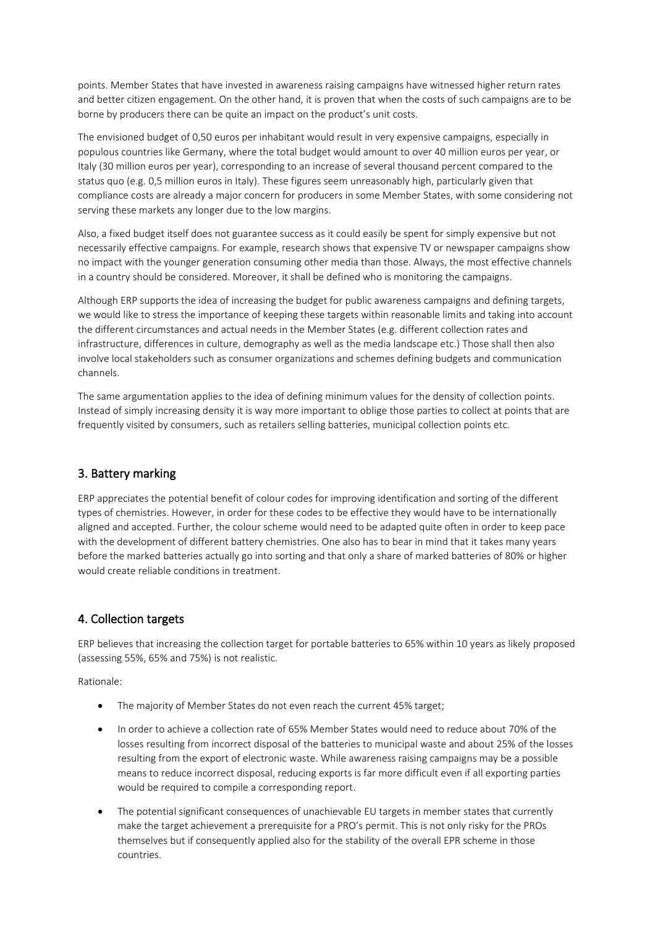points. Member States that have invested in awareness raising campaigns have witnessed higher return rates and better citizen engagement. On the other hand, it is proven that when the costs of such campaigns are to be borne by producers there can be quite an impact on the product's unit costs.

The envisioned budget of 0,50 euros per inhabitant would result in very expensive campaigns, especially in populous countries like Germany, where the total budget would amount to over 40 million euros per year, or Italy (30 million euros per year), corresponding to an increase of several thousand percent compared to the status quo (e.g. 0,5 million euros in Italy). These figures seem unreasonably high, particularly given that compliance costs are already a major concern for producers in some Member States, with some considering not serving these markets any longer due to the low margins.

Also, a fixed budget itself does not guarantee success as it could easily be spent for simply expensive but not necessarily effective campaigns. For example, research shows that expensive TV or newspaper campaigns show no impact with the younger generation consuming other media than those. Always, the most effective channels in a country should be considered. Moreover, it shall be defined who is monitoring the campaigns.

Although ERP supports the idea of increasing the budget for public awareness campaigns and defining targets, we would like to stress the importance of keeping these targets within reasonable limits and taking into account the different circumstances and actual needs in the Member States (e.g. different collection rates and infrastructure, differences in culture, demography as well as the media landscape etc.) Those shall then also involve local stakeholders such as consumer organizations and schemes defining budgets and communication channels.

The same argumentation applies to the idea of defining minimum values for the density of collection points. Instead of simply increasing density it is way more important to oblige those parties to collect at points that are frequently visited by consumers, such as retailers selling batteries, municipal collection points etc.

## 3. Battery marking

ERP appreciates the potential benefit of colour codes for improving identification and sorting of the different types of chemistries. However, in order for these codes to be effective they would have to be internationally aligned and accepted. Further, the colour scheme would need to be adapted quite often in order to keep pace with the development of different battery chemistries. One also has to bear in mind that it takes many years before the marked batteries actually go into sorting and that only a share of marked batteries of 80% or higher would create reliable conditions in treatment.

## 4. Collection targets

ERP believes that increasing the collection target for portable batteries to 65% within 10 years as likely proposed (assessing 55%, 65% and 75%) is not realistic.

Rationale:

- The majority of Member States do not even reach the current 45% target;
- In order to achieve a collection rate of 65% Member States would need to reduce about 70% of the losses resulting from incorrect disposal of the batteries to municipal waste and about 25% of the losses resulting from the export of electronic waste. While awareness raising campaigns may be a possible means to reduce incorrect disposal, reducing exports is far more difficult even if all exporting parties would be required to compile a corresponding report.
- The potential significant consequences of unachievable EU targets in member states that currently make the target achievement a prerequisite for a PRO's permit. This is not only risky for the PROs themselves but if consequently applied also for the stability of the overall EPR scheme in those countries.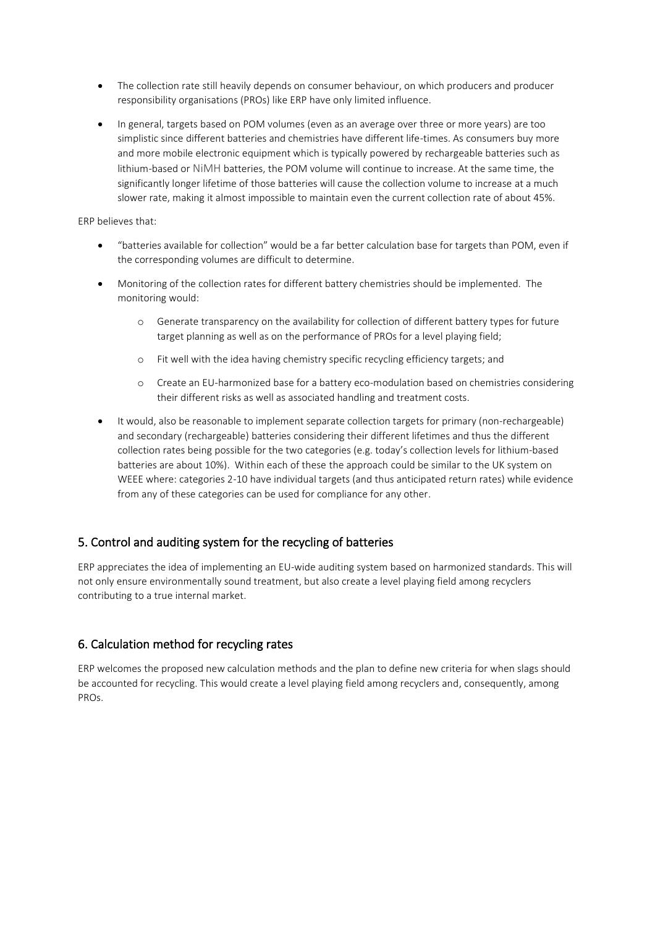- The collection rate still heavily depends on consumer behaviour, on which producers and producer responsibility organisations (PROs) like ERP have only limited influence.
- In general, targets based on POM volumes (even as an average over three or more years) are too simplistic since different batteries and chemistries have different life-times. As consumers buy more and more mobile electronic equipment which is typically powered by rechargeable batteries such as lithium-based or NiMH batteries, the POM volume will continue to increase. At the same time, the significantly longer lifetime of those batteries will cause the collection volume to increase at a much slower rate, making it almost impossible to maintain even the current collection rate of about 45%.

#### ERP believes that:

- "batteries available for collection" would be a far better calculation base for targets than POM, even if the corresponding volumes are difficult to determine.
- Monitoring of the collection rates for different battery chemistries should be implemented. The monitoring would:
	- o Generate transparency on the availability for collection of different battery types for future target planning as well as on the performance of PROs for a level playing field;
	- o Fit well with the idea having chemistry specific recycling efficiency targets; and
	- o Create an EU-harmonized base for a battery eco-modulation based on chemistries considering their different risks as well as associated handling and treatment costs.
- It would, also be reasonable to implement separate collection targets for primary (non-rechargeable) and secondary (rechargeable) batteries considering their different lifetimes and thus the different collection rates being possible for the two categories (e.g. today's collection levels for lithium-based batteries are about 10%). Within each of these the approach could be similar to the UK system on WEEE where: categories 2-10 have individual targets (and thus anticipated return rates) while evidence from any of these categories can be used for compliance for any other.

## 5. Control and auditing system for the recycling of batteries

ERP appreciates the idea of implementing an EU-wide auditing system based on harmonized standards. This will not only ensure environmentally sound treatment, but also create a level playing field among recyclers contributing to a true internal market.

## 6. Calculation method for recycling rates

ERP welcomes the proposed new calculation methods and the plan to define new criteria for when slags should be accounted for recycling. This would create a level playing field among recyclers and, consequently, among PROs.